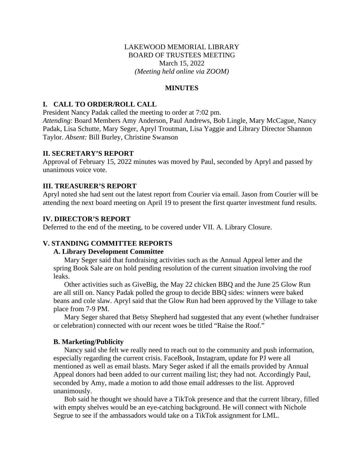## LAKEWOOD MEMORIAL LIBRARY BOARD OF TRUSTEES MEETING March 15, 2022 *(Meeting held online via ZOOM)*

### **MINUTES**

## **I. CALL TO ORDER/ROLL CALL**

Taylor. *Absent:* Bill Burley, Christine Swanson

President Nancy Padak called the meeting to order at 7:02 pm. *Attending*: Board Members Amy Anderson, Paul Andrews, Bob Lingle, Mary McCague, Nancy Padak, Lisa Schutte, Mary Seger, Apryl Troutman, Lisa Yaggie and Library Director Shannon

### **II. SECRETARY'S REPORT**

Approval of February 15, 2022 minutes was moved by Paul, seconded by Apryl and passed by unanimous voice vote.

## **III. TREASURER'S REPORT**

Apryl noted she had sent out the latest report from Courier via email. Jason from Courier will be attending the next board meeting on April 19 to present the first quarter investment fund results.

### **IV. DIRECTOR'S REPORT**

Deferred to the end of the meeting, to be covered under VII. A. Library Closure.

### **V. STANDING COMMITTEE REPORTS**

### **A. Library Development Committee**

Mary Seger said that fundraising activities such as the Annual Appeal letter and the spring Book Sale are on hold pending resolution of the current situation involving the roof leaks.

Other activities such as GiveBig, the May 22 chicken BBQ and the June 25 Glow Run are all still on. Nancy Padak polled the group to decide BBQ sides: winners were baked beans and cole slaw. Apryl said that the Glow Run had been approved by the Village to take place from 7-9 PM.

Mary Seger shared that Betsy Shepherd had suggested that any event (whether fundraiser or celebration) connected with our recent woes be titled "Raise the Roof."

### **B. Marketing/Publicity**

Nancy said she felt we really need to reach out to the community and push information, especially regarding the current crisis. FaceBook, Instagram, update for PJ were all mentioned as well as email blasts. Mary Seger asked if all the emails provided by Annual Appeal donors had been added to our current mailing list; they had not. Accordingly Paul, seconded by Amy, made a motion to add those email addresses to the list. Approved unanimously.

Bob said he thought we should have a TikTok presence and that the current library, filled with empty shelves would be an eye-catching background. He will connect with Nichole Segrue to see if the ambassadors would take on a TikTok assignment for LML.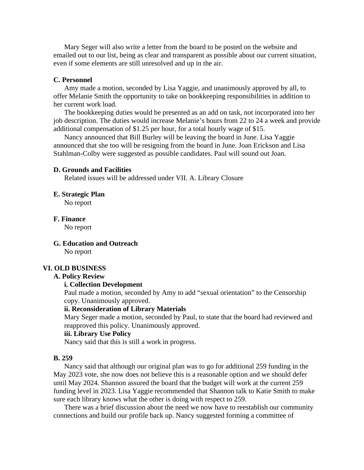Mary Seger will also write a letter from the board to be posted on the website and emailed out to our list, being as clear and transparent as possible about our current situation, even if some elements are still unresolved and up in the air.

#### **C. Personnel**

Amy made a motion, seconded by Lisa Yaggie, and unanimously approved by all, to offer Melanie Smith the opportunity to take on bookkeeping responsibilities in addition to her current work load.

The bookkeeping duties would be presented as an add on task, not incorporated into her job description. The duties would increase Melanie's hours from 22 to 24 a week and provide additional compensation of \$1.25 per hour, for a total hourly wage of \$15.

Nancy announced that Bill Burley will be leaving the board in June. Lisa Yaggie announced that she too will be resigning from the board in June. Joan Erickson and Lisa Stahlman-Colby were suggested as possible candidates. Paul will sound out Joan.

### **D. Grounds and Facilities**

Related issues will be addressed under VII. A. Library Closure

#### **E. Strategic Plan**

No report

**F. Finance**

No report

**G. Education and Outreach** No report

#### **VI. OLD BUSINESS**

### **A. Policy Review**

### **i. Collection Development**

Paul made a motion, seconded by Amy to add "sexual orientation" to the Censorship copy. Unanimously approved.

### **ii. Reconsideration of Library Materials**

Mary Seger made a motion, seconded by Paul, to state that the board had reviewed and reapproved this policy. Unanimously approved.

### **iii. Library Use Policy**

Nancy said that this is still a work in progress.

#### **B. 259**

Nancy said that although our original plan was to go for additional 259 funding in the May 2023 vote, she now does not believe this is a reasonable option and we should defer until May 2024. Shannon assured the board that the budget will work at the current 259 funding level in 2023. Lisa Yaggie recommended that Shannon talk to Katie Smith to make sure each library knows what the other is doing with respect to 259.

There was a brief discussion about the need we now have to reestablish our community connections and build our profile back up. Nancy suggested forming a committee of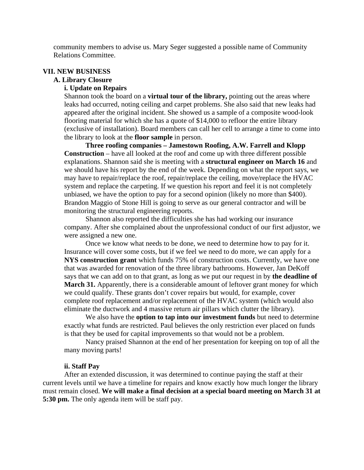community members to advise us. Mary Seger suggested a possible name of Community Relations Committee.

### **VII. NEW BUSINESS**

### **A. Library Closure**

## **i. Update on Repairs**

Shannon took the board on a **virtual tour of the library,** pointing out the areas where leaks had occurred, noting ceiling and carpet problems. She also said that new leaks had appeared after the original incident. She showed us a sample of a composite wood-look flooring material for which she has a quote of \$14,000 to refloor the entire library (exclusive of installation). Board members can call her cell to arrange a time to come into the library to look at the **floor sample** in person.

**Three roofing companies – Jamestown Roofing, A.W. Farrell and Klopp Construction** – have all looked at the roof and come up with three different possible explanations. Shannon said she is meeting with a **structural engineer on March 16** and we should have his report by the end of the week. Depending on what the report says, we may have to repair/replace the roof, repair/replace the ceiling, move/replace the HVAC system and replace the carpeting. If we question his report and feel it is not completely unbiased, we have the option to pay for a second opinion (likely no more than \$400). Brandon Maggio of Stone Hill is going to serve as our general contractor and will be monitoring the structural engineering reports.

Shannon also reported the difficulties she has had working our insurance company. After she complained about the unprofessional conduct of our first adjustor, we were assigned a new one.

Once we know what needs to be done, we need to determine how to pay for it. Insurance will cover some costs, but if we feel we need to do more, we can apply for a **NYS construction grant** which funds 75% of construction costs. Currently, we have one that was awarded for renovation of the three library bathrooms. However, Jan DeKoff says that we can add on to that grant, as long as we put our request in by **the deadline of March 31.** Apparently, there is a considerable amount of leftover grant money for which we could qualify. These grants don't cover repairs but would, for example, cover complete roof replacement and/or replacement of the HVAC system (which would also eliminate the ductwork and 4 massive return air pillars which clutter the library).

We also have the **option to tap into our investment funds** but need to determine exactly what funds are restricted. Paul believes the only restriction ever placed on funds is that they be used for capital improvements so that would not be a problem.

Nancy praised Shannon at the end of her presentation for keeping on top of all the many moving parts!

#### **ii. Staff Pay**

After an extended discussion, it was determined to continue paying the staff at their current levels until we have a timeline for repairs and know exactly how much longer the library must remain closed. **We will make a final decision at a special board meeting on March 31 at 5:30 pm.** The only agenda item will be staff pay.